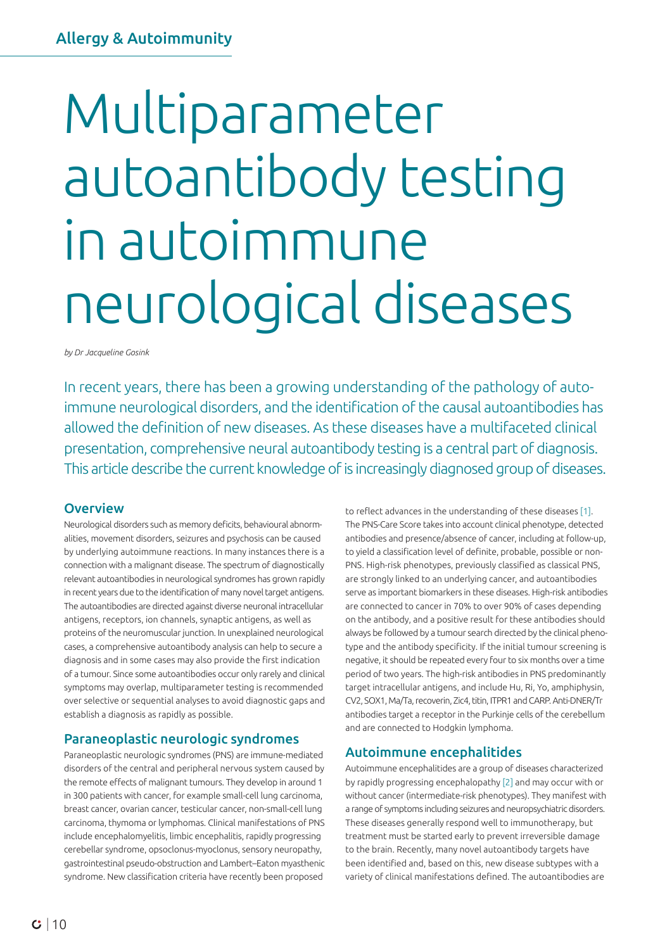# Multiparameter autoantibody testing in autoimmune neurological diseases

*by Dr Jacqueline Gosink*

In recent years, there has been a growing understanding of the pathology of autoimmune neurological disorders, and the identification of the causal autoantibodies has allowed the definition of new diseases. As these diseases have a multifaceted clinical presentation, comprehensive neural autoantibody testing is a central part of diagnosis. This article describe the current knowledge of is increasingly diagnosed group of diseases.

# **Overview**

Neurological disorders such as memory deficits, behavioural abnormalities, movement disorders, seizures and psychosis can be caused by underlying autoimmune reactions. In many instances there is a connection with a malignant disease. The spectrum of diagnostically relevant autoantibodies in neurological syndromes has grown rapidly in recent years due to the identification of many novel target antigens. The autoantibodies are directed against diverse neuronal intracellular antigens, receptors, ion channels, synaptic antigens, as well as proteins of the neuromuscular junction. In unexplained neurological cases, a comprehensive autoantibody analysis can help to secure a diagnosis and in some cases may also provide the first indication of a tumour. Since some autoantibodies occur only rarely and clinical symptoms may overlap, multiparameter testing is recommended over selective or sequential analyses to avoid diagnostic gaps and establish a diagnosis as rapidly as possible.

# Paraneoplastic neurologic syndromes

Paraneoplastic neurologic syndromes (PNS) are immune-mediated disorders of the central and peripheral nervous system caused by the remote effects of malignant tumours. They develop in around 1 in 300 patients with cancer, for example small-cell lung carcinoma, breast cancer, ovarian cancer, testicular cancer, non-small-cell lung carcinoma, thymoma or lymphomas. Clinical manifestations of PNS include encephalomyelitis, limbic encephalitis, rapidly progressing cerebellar syndrome, opsoclonus-myoclonus, sensory neuropathy, gastrointestinal pseudo-obstruction and Lambert–Eaton myasthenic syndrome. New classification criteria have recently been proposed

to reflect advances in the understanding of these diseases [1]. The PNS-Care Score takes into account clinical phenotype, detected antibodies and presence/absence of cancer, including at follow-up, to yield a classification level of definite, probable, possible or non-PNS. High-risk phenotypes, previously classified as classical PNS, are strongly linked to an underlying cancer, and autoantibodies serve as important biomarkers in these diseases. High-risk antibodies are connected to cancer in 70% to over 90% of cases depending on the antibody, and a positive result for these antibodies should always be followed by a tumour search directed by the clinical phenotype and the antibody specificity. If the initial tumour screening is negative, it should be repeated every four to six months over a time period of two years. The high-risk antibodies in PNS predominantly target intracellular antigens, and include Hu, Ri, Yo, amphiphysin, CV2, SOX1, Ma/Ta, recoverin, Zic4, titin, ITPR1 and CARP. Anti-DNER/Tr antibodies target a receptor in the Purkinje cells of the cerebellum and are connected to Hodgkin lymphoma.

# Autoimmune encephalitides

Autoimmune encephalitides are a group of diseases characterized by rapidly progressing encephalopathy [2] and may occur with or without cancer (intermediate-risk phenotypes). They manifest with a range of symptoms including seizures and neuropsychiatric disorders. These diseases generally respond well to immunotherapy, but treatment must be started early to prevent irreversible damage to the brain. Recently, many novel autoantibody targets have been identified and, based on this, new disease subtypes with a variety of clinical manifestations defined. The autoantibodies are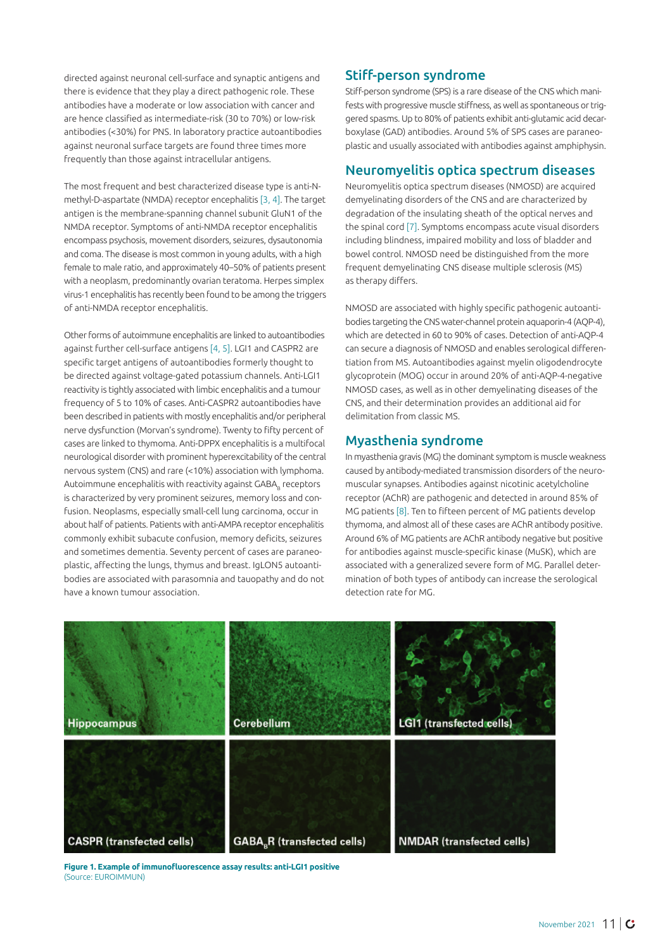directed against neuronal cell-surface and synaptic antigens and there is evidence that they play a direct pathogenic role. These antibodies have a moderate or low association with cancer and are hence classified as intermediate-risk (30 to 70%) or low-risk antibodies (<30%) for PNS. In laboratory practice autoantibodies against neuronal surface targets are found three times more frequently than those against intracellular antigens.

The most frequent and best characterized disease type is anti-Nmethyl-D-aspartate (NMDA) receptor encephalitis [3, 4]. The target antigen is the membrane-spanning channel subunit GluN1 of the NMDA receptor. Symptoms of anti-NMDA receptor encephalitis encompass psychosis, movement disorders, seizures, dysautonomia and coma. The disease is most common in young adults, with a high female to male ratio, and approximately 40–50% of patients present with a neoplasm, predominantly ovarian teratoma. Herpes simplex virus-1 encephalitis has recently been found to be among the triggers of anti-NMDA receptor encephalitis.

Other forms of autoimmune encephalitis are linked to autoantibodies against further cell-surface antigens [4, 5]. LGI1 and CASPR2 are specific target antigens of autoantibodies formerly thought to be directed against voltage-gated potassium channels. Anti-LGI1 reactivity is tightly associated with limbic encephalitis and a tumour frequency of 5 to 10% of cases. Anti-CASPR2 autoantibodies have been described in patients with mostly encephalitis and/or peripheral nerve dysfunction (Morvan's syndrome). Twenty to fifty percent of cases are linked to thymoma. Anti-DPPX encephalitis is a multifocal neurological disorder with prominent hyperexcitability of the central nervous system (CNS) and rare (<10%) association with lymphoma. Autoimmune encephalitis with reactivity against GABA, receptors is characterized by very prominent seizures, memory loss and confusion. Neoplasms, especially small-cell lung carcinoma, occur in about half of patients. Patients with anti-AMPA receptor encephalitis commonly exhibit subacute confusion, memory deficits, seizures and sometimes dementia. Seventy percent of cases are paraneoplastic, affecting the lungs, thymus and breast. IgLON5 autoantibodies are associated with parasomnia and tauopathy and do not have a known tumour association.

# Stiff-person syndrome

Stiff-person syndrome (SPS) is a rare disease of the CNS which manifests with progressive muscle stiffness, as well as spontaneous or triggered spasms. Up to 80% of patients exhibit anti-glutamic acid decarboxylase (GAD) antibodies. Around 5% of SPS cases are paraneoplastic and usually associated with antibodies against amphiphysin.

# Neuromyelitis optica spectrum diseases

Neuromyelitis optica spectrum diseases (NMOSD) are acquired demyelinating disorders of the CNS and are characterized by degradation of the insulating sheath of the optical nerves and the spinal cord [7]. Symptoms encompass acute visual disorders including blindness, impaired mobility and loss of bladder and bowel control. NMOSD need be distinguished from the more frequent demyelinating CNS disease multiple sclerosis (MS) as therapy differs.

NMOSD are associated with highly specific pathogenic autoantibodies targeting the CNS water-channel protein aquaporin-4 (AQP-4), which are detected in 60 to 90% of cases. Detection of anti-AQP-4 can secure a diagnosis of NMOSD and enables serological differentiation from MS. Autoantibodies against myelin oligodendrocyte glycoprotein (MOG) occur in around 20% of anti-AQP-4-negative NMOSD cases, as well as in other demyelinating diseases of the CNS, and their determination provides an additional aid for delimitation from classic MS.

## Myasthenia syndrome

In myasthenia gravis (MG) the dominant symptom is muscle weakness caused by antibody-mediated transmission disorders of the neuromuscular synapses. Antibodies against nicotinic acetylcholine receptor (AChR) are pathogenic and detected in around 85% of MG patients [8]. Ten to fifteen percent of MG patients develop thymoma, and almost all of these cases are AChR antibody positive. Around 6% of MG patients are AChR antibody negative but positive for antibodies against muscle-specific kinase (MuSK), which are associated with a generalized severe form of MG. Parallel determination of both types of antibody can increase the serological detection rate for MG.



**Figure 1. Example of immunofluorescence assay results: anti-LGI1 positive** (Source: EUROIMMUN)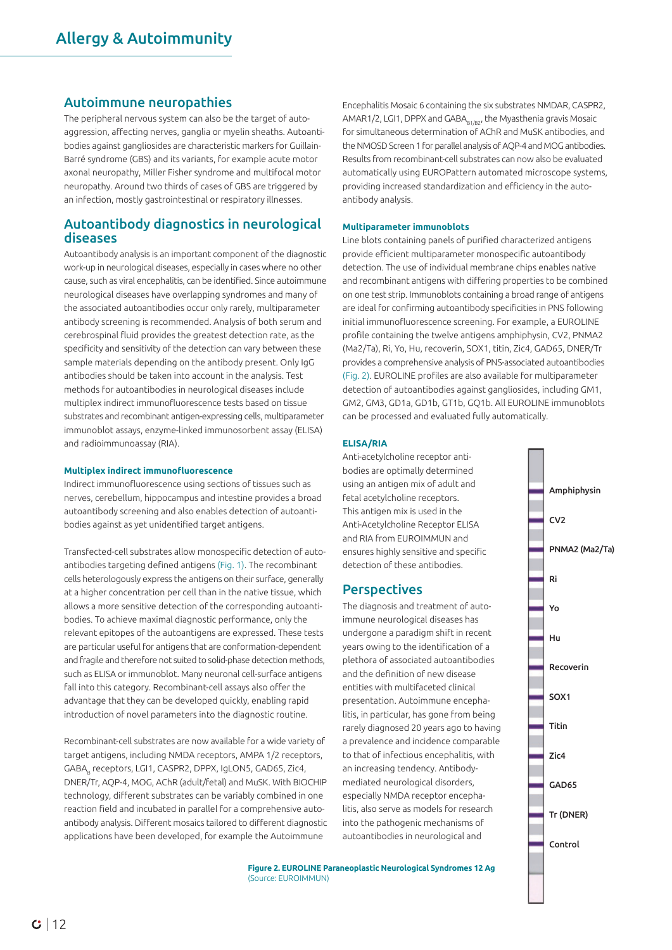## Autoimmune neuropathies

The peripheral nervous system can also be the target of autoaggression, affecting nerves, ganglia or myelin sheaths. Autoantibodies against gangliosides are characteristic markers for Guillain-Barré syndrome (GBS) and its variants, for example acute motor axonal neuropathy, Miller Fisher syndrome and multifocal motor neuropathy. Around two thirds of cases of GBS are triggered by an infection, mostly gastrointestinal or respiratory illnesses.

# Autoantibody diagnostics in neurological diseases

Autoantibody analysis is an important component of the diagnostic work-up in neurological diseases, especially in cases where no other cause, such as viral encephalitis, can be identified. Since autoimmune neurological diseases have overlapping syndromes and many of the associated autoantibodies occur only rarely, multiparameter antibody screening is recommended. Analysis of both serum and cerebrospinal fluid provides the greatest detection rate, as the specificity and sensitivity of the detection can vary between these sample materials depending on the antibody present. Only IgG antibodies should be taken into account in the analysis. Test methods for autoantibodies in neurological diseases include multiplex indirect immunofluorescence tests based on tissue substrates and recombinant antigen-expressing cells, multiparameter immunoblot assays, enzyme-linked immunosorbent assay (ELISA) and radioimmunoassay (RIA).

#### **Multiplex indirect immunofluorescence**

Indirect immunofluorescence using sections of tissues such as nerves, cerebellum, hippocampus and intestine provides a broad autoantibody screening and also enables detection of autoantibodies against as yet unidentified target antigens.

Transfected-cell substrates allow monospecific detection of autoantibodies targeting defined antigens (Fig. 1). The recombinant cells heterologously express the antigens on their surface, generally at a higher concentration per cell than in the native tissue, which allows a more sensitive detection of the corresponding autoantibodies. To achieve maximal diagnostic performance, only the relevant epitopes of the autoantigens are expressed. These tests are particular useful for antigens that are conformation-dependent and fragile and therefore not suited to solid-phase detection methods, such as ELISA or immunoblot. Many neuronal cell-surface antigens fall into this category. Recombinant-cell assays also offer the advantage that they can be developed quickly, enabling rapid introduction of novel parameters into the diagnostic routine.

Recombinant-cell substrates are now available for a wide variety of target antigens, including NMDA receptors, AMPA 1/2 receptors, GABA, receptors, LGI1, CASPR2, DPPX, IgLON5, GAD65, Zic4, DNER/Tr, AQP-4, MOG, AChR (adult/fetal) and MuSK. With BIOCHIP technology, different substrates can be variably combined in one reaction field and incubated in parallel for a comprehensive autoantibody analysis. Different mosaics tailored to different diagnostic applications have been developed, for example the Autoimmune

Encephalitis Mosaic 6 containing the six substrates NMDAR, CASPR2, AMAR1/2, LGI1, DPPX and GABA $_{B1/B2}$ , the Myasthenia gravis Mosaic for simultaneous determination of AChR and MuSK antibodies, and the NMOSD Screen 1 for parallel analysis of AQP-4 and MOG antibodies. Results from recombinant-cell substrates can now also be evaluated automatically using EUROPattern automated microscope systems, providing increased standardization and efficiency in the autoantibody analysis.

#### **Multiparameter immunoblots**

Line blots containing panels of purified characterized antigens provide efficient multiparameter monospecific autoantibody detection. The use of individual membrane chips enables native and recombinant antigens with differing properties to be combined on one test strip. Immunoblots containing a broad range of antigens are ideal for confirming autoantibody specificities in PNS following initial immunofluorescence screening. For example, a EUROLINE profile containing the twelve antigens amphiphysin, CV2, PNMA2 (Ma2/Ta), Ri, Yo, Hu, recoverin, SOX1, titin, Zic4, GAD65, DNER/Tr provides a comprehensive analysis of PNS-associated autoantibodies (Fig. 2). EUROLINE profiles are also available for multiparameter detection of autoantibodies against gangliosides, including GM1, GM2, GM3, GD1a, GD1b, GT1b, GQ1b. All EUROLINE immunoblots can be processed and evaluated fully automatically.

#### **ELISA/RIA**

Anti-acetylcholine receptor antibodies are optimally determined using an antigen mix of adult and fetal acetylcholine receptors. This antigen mix is used in the Anti-Acetylcholine Receptor ELISA and RIA from EUROIMMUN and ensures highly sensitive and specific detection of these antibodies.

# **Perspectives**

The diagnosis and treatment of autoimmune neurological diseases has undergone a paradigm shift in recent years owing to the identification of a plethora of associated autoantibodies and the definition of new disease entities with multifaceted clinical presentation. Autoimmune encephalitis, in particular, has gone from being rarely diagnosed 20 years ago to having a prevalence and incidence comparable to that of infectious encephalitis, with an increasing tendency. Antibodymediated neurological disorders, especially NMDA receptor encephalitis, also serve as models for research into the pathogenic mechanisms of autoantibodies in neurological and

Amphiphysin CV2 PNMA2 (Ma2/Ta) Ri Yo Hu Recoverin SOX1 Titin Zic4 GAD65 Tr (DNER) Control

**Figure 2. EUROLINE Paraneoplastic Neurological Syndromes 12 Ag** (Source: EUROIMMUN)